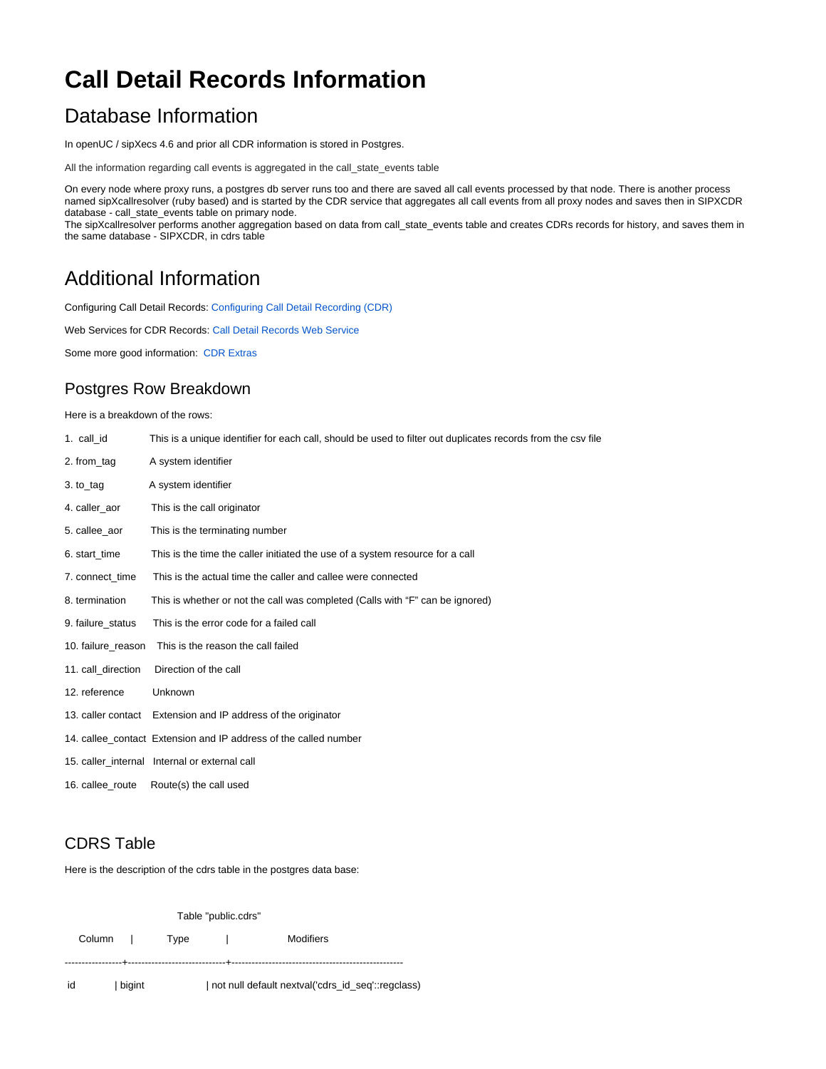# **Call Detail Records Information**

### Database Information

In openUC / sipXecs 4.6 and prior all CDR information is stored in Postgres.

All the information regarding call events is aggregated in the call\_state\_events table

On every node where proxy runs, a postgres db server runs too and there are saved all call events processed by that node. There is another process named sipXcallresolver (ruby based) and is started by the CDR service that aggregates all call events from all proxy nodes and saves then in SIPXCDR database - call\_state\_events table on primary node.

The sipXcallresolver performs another aggregation based on data from call\_state\_events table and creates CDRs records for history, and saves them in the same database - SIPXCDR, in cdrs table

### Additional Information

Configuring Call Detail Records: [Configuring Call Detail Recording \(CDR\)](https://wiki.ezuce.com/pages/viewpage.action?pageId=35685914)

Web Services for CDR Records: [Call Detail Records Web Service](https://wiki.ezuce.com/display/sipXcom/Call+Detail+Records+Web+Service)

Some more good information: [CDR Extras](https://wiki.ezuce.com/display/~rgdans/CDR+Extras)

#### Postgres Row Breakdown

Here is a breakdown of the rows:

| 1. call_id         | This is a unique identifier for each call, should be used to filter out duplicates records from the csv file |
|--------------------|--------------------------------------------------------------------------------------------------------------|
| 2. from_tag        | A system identifier                                                                                          |
| 3. to_tag          | A system identifier                                                                                          |
| 4. caller aor      | This is the call originator                                                                                  |
| 5. callee aor      | This is the terminating number                                                                               |
| 6. start time      | This is the time the caller initiated the use of a system resource for a call                                |
| 7. connect time    | This is the actual time the caller and callee were connected                                                 |
| 8. termination     | This is whether or not the call was completed (Calls with "F" can be ignored)                                |
| 9. failure status  | This is the error code for a failed call                                                                     |
| 10. failure reason | This is the reason the call failed                                                                           |
| 11. call direction | Direction of the call                                                                                        |
| 12. reference      | Unknown                                                                                                      |
| 13. caller contact | Extension and IP address of the originator                                                                   |
|                    | 14. callee contact Extension and IP address of the called number                                             |
|                    | 15. caller_internal Internal or external call                                                                |
| 16. callee route   | Route(s) the call used                                                                                       |

#### CDRS Table

Here is the description of the cdrs table in the postgres data base:

| Table "public.cdrs" |        |      |                                     |                                                   |  |  |  |  |  |  |  |  |
|---------------------|--------|------|-------------------------------------|---------------------------------------------------|--|--|--|--|--|--|--|--|
|                     | Column | Type | and the contract of the contract of | Modifiers                                         |  |  |  |  |  |  |  |  |
| id                  | bigint |      |                                     | not null default nextval('cdrs_id_seq'::regclass) |  |  |  |  |  |  |  |  |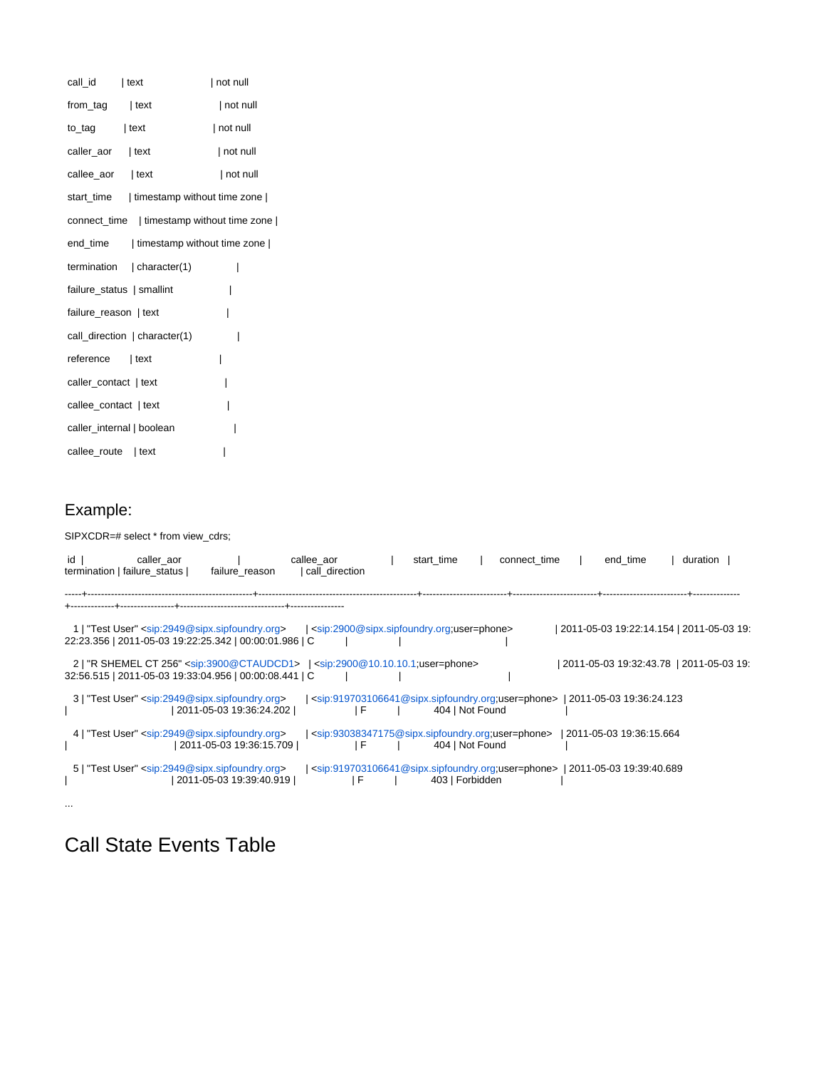| call_id                    | $ $ text                                   | not null |  |  |  |  |
|----------------------------|--------------------------------------------|----------|--|--|--|--|
| from_tag   text            |                                            | not null |  |  |  |  |
| $to$ $_{tag}$   text       |                                            | not null |  |  |  |  |
| caller_aor   text          |                                            | not null |  |  |  |  |
| callee_aor   text          |                                            | not null |  |  |  |  |
|                            | start_time   timestamp without time zone   |          |  |  |  |  |
|                            | connect_time   timestamp without time zone |          |  |  |  |  |
|                            | end_time   timestamp without time zone     |          |  |  |  |  |
|                            | termination   character(1)                 | I        |  |  |  |  |
|                            | failure_status   smallint                  | I        |  |  |  |  |
| I<br>failure_reason   text |                                            |          |  |  |  |  |
|                            | call direction   character(1)              | I        |  |  |  |  |
| reference   text           |                                            | I        |  |  |  |  |
| caller_contact   text      |                                            | I        |  |  |  |  |
| callee_contact   text      |                                            | I        |  |  |  |  |
|                            | caller internal   boolean                  |          |  |  |  |  |
| callee_route   text        |                                            |          |  |  |  |  |

### Example:

...

SIPXCDR=# select \* from view\_cdrs;

| id I | caller aor<br>termination   failure status                                                                                               | failure reason |                         | callee aor<br>call direction |     | start time                                                                                                                        |                 | connect time |  | end time                                 | duration |  |
|------|------------------------------------------------------------------------------------------------------------------------------------------|----------------|-------------------------|------------------------------|-----|-----------------------------------------------------------------------------------------------------------------------------------|-----------------|--------------|--|------------------------------------------|----------|--|
|      |                                                                                                                                          |                |                         |                              |     |                                                                                                                                   |                 |              |  |                                          |          |  |
|      | 1   "Test User" <sip:2949@sipx.sipfoundry.org><br/>22:23.356   2011-05-03 19:22:25.342   00:00:01.986   C</sip:2949@sipx.sipfoundry.org> |                |                         |                              |     | $\vert$ <sip:2900@sipx.sipfoundry.org;user=phone></sip:2900@sipx.sipfoundry.org;user=phone>                                       |                 |              |  | 2011-05-03 19:22:14.154   2011-05-03 19: |          |  |
|      | 32:56.515   2011-05-03 19:33:04.956   00:00:08.441   C                                                                                   |                |                         |                              |     | 2   "R SHEMEL CT 256" <sip:3900@ctaudcd1>   <sip:2900@10.10.10.1;user=phone></sip:2900@10.10.10.1;user=phone></sip:3900@ctaudcd1> |                 |              |  | 2011-05-03 19:32:43.78   2011-05-03 19:  |          |  |
|      | 3   "Test User" <sip:2949@sipx.sipfoundry.org></sip:2949@sipx.sipfoundry.org>                                                            |                | 2011-05-03 19:36:24.202 |                              | l F | <sip:919703106641@sipx.sipfoundry.org;user=phone></sip:919703106641@sipx.sipfoundry.org;user=phone>                               | 404   Not Found |              |  | 2011-05-03 19:36:24.123                  |          |  |
|      | "Test User" <sip:2949@sipx.sipfoundry.org></sip:2949@sipx.sipfoundry.org>                                                                |                | 2011-05-03 19:36:15.709 |                              | ١F  | <sip:93038347175@sipx.sipfoundry.org;user=phone></sip:93038347175@sipx.sipfoundry.org;user=phone>                                 | 404   Not Found |              |  | 2011-05-03 19:36:15.664                  |          |  |
|      | 5   "Test User" <sip:2949@sipx.sipfoundry.org></sip:2949@sipx.sipfoundry.org>                                                            |                | 2011-05-03 19:39:40.919 |                              | l F | <sip:919703106641@sipx.sipfoundry.org;user=phone>   2011-05-03 19:39:40.689</sip:919703106641@sipx.sipfoundry.org;user=phone>     | 403   Forbidden |              |  |                                          |          |  |

## Call State Events Table